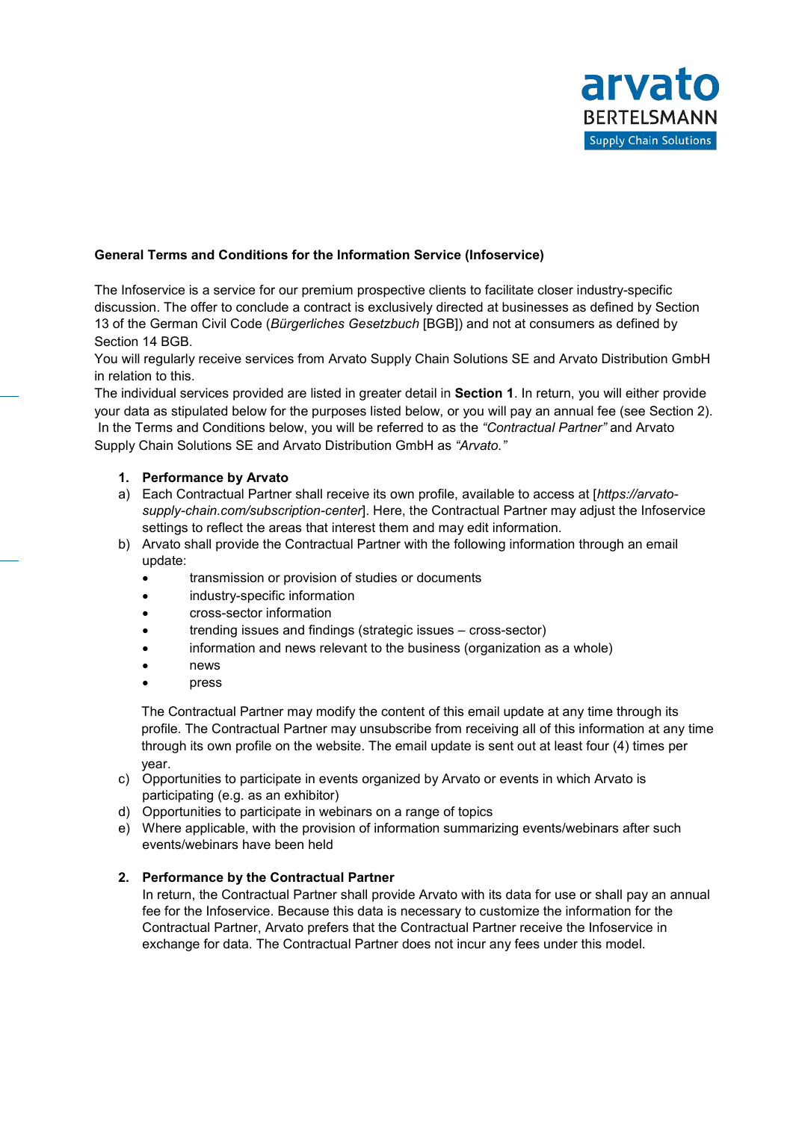

# **General Terms and Conditions for the Information Service (Infoservice)**

The Infoservice is a service for our premium prospective clients to facilitate closer industry-specific discussion. The offer to conclude a contract is exclusively directed at businesses as defined by Section 13 of the German Civil Code (*Bürgerliches Gesetzbuch* [BGB]) and not at consumers as defined by Section 14 BGB.

You will regularly receive services from Arvato Supply Chain Solutions SE and Arvato Distribution GmbH in relation to this.

The individual services provided are listed in greater detail in **Section 1**. In return, you will either provide your data as stipulated below for the purposes listed below, or you will pay an annual fee (see Section 2). In the Terms and Conditions below, you will be referred to as the *"Contractual Partner"* and Arvato Supply Chain Solutions SE and Arvato Distribution GmbH as *"Arvato."*

# **1. Performance by Arvato**

- a) Each Contractual Partner shall receive its own profile, available to access at [*https://arvatosupply-chain.com/subscription-center*]. Here, the Contractual Partner may adjust the Infoservice settings to reflect the areas that interest them and may edit information.
- b) Arvato shall provide the Contractual Partner with the following information through an email update:
	- transmission or provision of studies or documents
	- industry-specific information
	- cross-sector information
	- trending issues and findings (strategic issues cross-sector)
	- information and news relevant to the business (organization as a whole)
	- news
	- press

The Contractual Partner may modify the content of this email update at any time through its profile. The Contractual Partner may unsubscribe from receiving all of this information at any time through its own profile on the website. The email update is sent out at least four (4) times per year.

- c) Opportunities to participate in events organized by Arvato or events in which Arvato is participating (e.g. as an exhibitor)
- d) Opportunities to participate in webinars on a range of topics
- e) Where applicable, with the provision of information summarizing events/webinars after such events/webinars have been held

# **2. Performance by the Contractual Partner**

In return, the Contractual Partner shall provide Arvato with its data for use or shall pay an annual fee for the Infoservice. Because this data is necessary to customize the information for the Contractual Partner, Arvato prefers that the Contractual Partner receive the Infoservice in exchange for data. The Contractual Partner does not incur any fees under this model.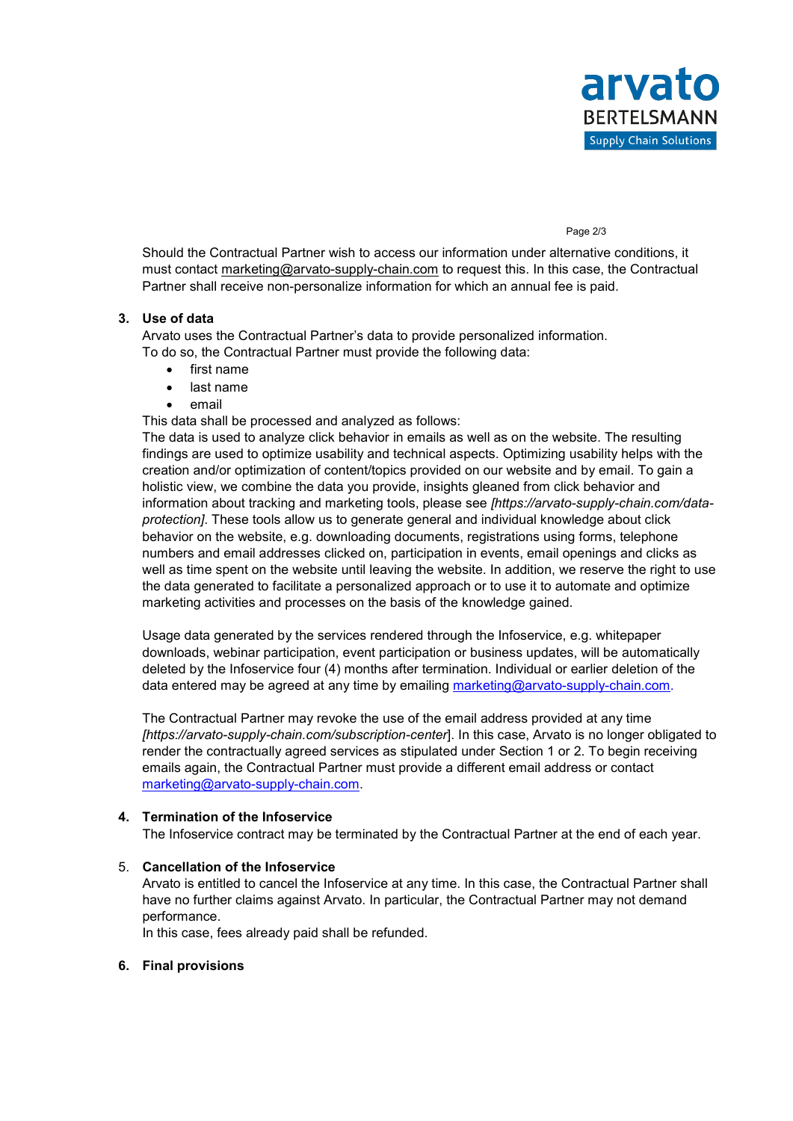#### Page 2/3

Should the Contractual Partner wish to access our information under alternative conditions, it must contact marketing@arvato-supply-chain.com to request this. In this case, the Contractual Partner shall receive non-personalize information for which an annual fee is paid.

## **3. Use of data**

Arvato uses the Contractual Partner's data to provide personalized information. To do so, the Contractual Partner must provide the following data:

- first name
- last name
- email

This data shall be processed and analyzed as follows:

The data is used to analyze click behavior in emails as well as on the website. The resulting findings are used to optimize usability and technical aspects. Optimizing usability helps with the creation and/or optimization of content/topics provided on our website and by email. To gain a holistic view, we combine the data you provide, insights gleaned from click behavior and information about tracking and marketing tools, please see *[https://arvato-supply-chain.com/dataprotection]*. These tools allow us to generate general and individual knowledge about click behavior on the website, e.g. downloading documents, registrations using forms, telephone numbers and email addresses clicked on, participation in events, email openings and clicks as well as time spent on the website until leaving the website. In addition, we reserve the right to use the data generated to facilitate a personalized approach or to use it to automate and optimize marketing activities and processes on the basis of the knowledge gained.

Usage data generated by the services rendered through the Infoservice, e.g. whitepaper downloads, webinar participation, event participation or business updates, will be automatically deleted by the Infoservice four (4) months after termination. Individual or earlier deletion of the data entered may be agreed at any time by emailing [marketing@arvato-supply-chain.com.](mailto:marketing@arvato-supply-chain.com)

The Contractual Partner may revoke the use of the email address provided at any time *[https://arvato-supply-chain.com/subscription-center*]. In this case, Arvato is no longer obligated to render the contractually agreed services as stipulated under Section 1 or 2. To begin receiving emails again, the Contractual Partner must provide a different email address or contact [marketing@arvato-supply-chain.com.](mailto:marketing@arvato-supply-chain.com)

## **4. Termination of the Infoservice**

The Infoservice contract may be terminated by the Contractual Partner at the end of each year.

# 5. **Cancellation of the Infoservice**

Arvato is entitled to cancel the Infoservice at any time. In this case, the Contractual Partner shall have no further claims against Arvato. In particular, the Contractual Partner may not demand performance.

In this case, fees already paid shall be refunded.

## **6. Final provisions**